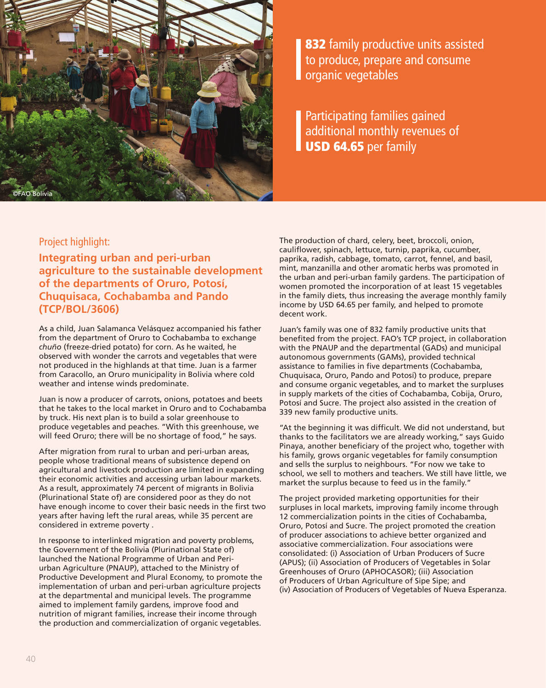

832 family productive units assisted to produce, prepare and consume organic vegetables

Participating families gained additional monthly revenues of **USD 64.65** per family

# Project highlight:

**Integrating urban and peri-urban agriculture to the sustainable development of the departments of Oruro, Potosí, Chuquisaca, Cochabamba and Pando (TCP/BOL/3606)**

As a child, Juan Salamanca Velásquez accompanied his father from the department of Oruro to Cochabamba to exchange *chuño* (freeze-dried potato) for corn. As he waited, he observed with wonder the carrots and vegetables that were not produced in the highlands at that time. Juan is a farmer from Caracollo, an Oruro municipality in Bolivia where cold weather and intense winds predominate.

Juan is now a producer of carrots, onions, potatoes and beets that he takes to the local market in Oruro and to Cochabamba by truck. His next plan is to build a solar greenhouse to produce vegetables and peaches. "With this greenhouse, we will feed Oruro; there will be no shortage of food," he says.

After migration from rural to urban and peri-urban areas, people whose traditional means of subsistence depend on agricultural and livestock production are limited in expanding their economic activities and accessing urban labour markets. As a result, approximately 74 percent of migrants in Bolivia (Plurinational State of) are considered poor as they do not have enough income to cover their basic needs in the first two years after having left the rural areas, while 35 percent are considered in extreme poverty .

In response to interlinked migration and poverty problems, the Government of the Bolivia (Plurinational State of) launched the National Programme of Urban and Periurban Agriculture (PNAUP), attached to the Ministry of Productive Development and Plural Economy, to promote the implementation of urban and peri-urban agriculture projects at the departmental and municipal levels. The programme aimed to implement family gardens, improve food and nutrition of migrant families, increase their income through the production and commercialization of organic vegetables.

The production of chard, celery, beet, broccoli, onion, cauliflower, spinach, lettuce, turnip, paprika, cucumber, paprika, radish, cabbage, tomato, carrot, fennel, and basil, mint, manzanilla and other aromatic herbs was promoted in the urban and peri-urban family gardens. The participation of women promoted the incorporation of at least 15 vegetables in the family diets, thus increasing the average monthly family income by USD 64.65 per family, and helped to promote decent work.

Juan's family was one of 832 family productive units that benefited from the project. FAO's TCP project, in collaboration with the PNAUP and the departmental (GADs) and municipal autonomous governments (GAMs), provided technical assistance to families in five departments (Cochabamba, Chuquisaca, Oruro, Pando and Potosí) to produce, prepare and consume organic vegetables, and to market the surpluses in supply markets of the cities of Cochabamba, Cobija, Oruro, Potosí and Sucre. The project also assisted in the creation of 339 new family productive units.

"At the beginning it was difficult. We did not understand, but thanks to the facilitators we are already working," says Guido Pinaya, another beneficiary of the project who, together with his family, grows organic vegetables for family consumption and sells the surplus to neighbours. "For now we take to school, we sell to mothers and teachers. We still have little, we market the surplus because to feed us in the family."

The project provided marketing opportunities for their surpluses in local markets, improving family income through 12 commercialization points in the cities of Cochabamba, Oruro, Potosí and Sucre. The project promoted the creation of producer associations to achieve better organized and associative commercialization. Four associations were consolidated: (i) Association of Urban Producers of Sucre (APUS); (ii) Association of Producers of Vegetables in Solar Greenhouses of Oruro (APHOCASOR); (iii) Association of Producers of Urban Agriculture of Sipe Sipe; and (iv) Association of Producers of Vegetables of Nueva Esperanza.